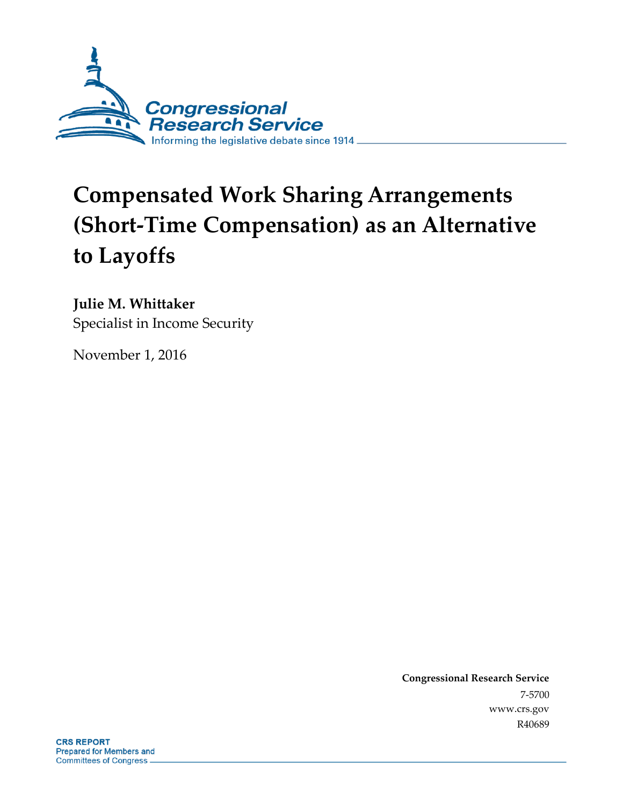

# **Compensated Work Sharing Arrangements (Short-Time Compensation) as an Alternative to Layoffs**

**Julie M. Whittaker**

Specialist in Income Security

November 1, 2016

**Congressional Research Service** 7-5700 www.crs.gov R40689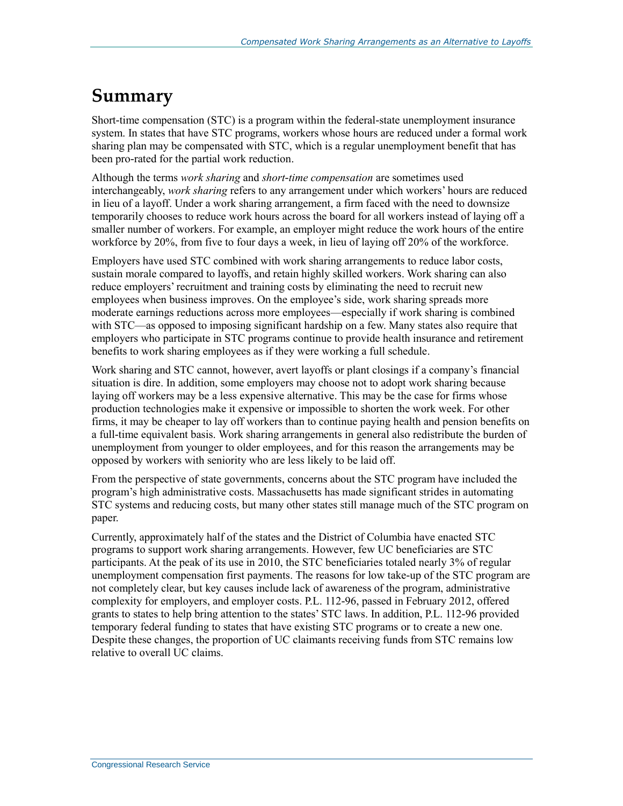## **Summary**

Short-time compensation (STC) is a program within the federal-state unemployment insurance system. In states that have STC programs, workers whose hours are reduced under a formal work sharing plan may be compensated with STC, which is a regular unemployment benefit that has been pro-rated for the partial work reduction.

Although the terms *work sharing* and *short-time compensation* are sometimes used interchangeably, *work sharing* refers to any arrangement under which workers' hours are reduced in lieu of a layoff. Under a work sharing arrangement, a firm faced with the need to downsize temporarily chooses to reduce work hours across the board for all workers instead of laying off a smaller number of workers. For example, an employer might reduce the work hours of the entire workforce by 20%, from five to four days a week, in lieu of laying off 20% of the workforce.

Employers have used STC combined with work sharing arrangements to reduce labor costs, sustain morale compared to layoffs, and retain highly skilled workers. Work sharing can also reduce employers' recruitment and training costs by eliminating the need to recruit new employees when business improves. On the employee's side, work sharing spreads more moderate earnings reductions across more employees—especially if work sharing is combined with STC—as opposed to imposing significant hardship on a few. Many states also require that employers who participate in STC programs continue to provide health insurance and retirement benefits to work sharing employees as if they were working a full schedule.

Work sharing and STC cannot, however, avert layoffs or plant closings if a company's financial situation is dire. In addition, some employers may choose not to adopt work sharing because laying off workers may be a less expensive alternative. This may be the case for firms whose production technologies make it expensive or impossible to shorten the work week. For other firms, it may be cheaper to lay off workers than to continue paying health and pension benefits on a full-time equivalent basis. Work sharing arrangements in general also redistribute the burden of unemployment from younger to older employees, and for this reason the arrangements may be opposed by workers with seniority who are less likely to be laid off.

From the perspective of state governments, concerns about the STC program have included the program's high administrative costs. Massachusetts has made significant strides in automating STC systems and reducing costs, but many other states still manage much of the STC program on paper.

Currently, approximately half of the states and the District of Columbia have enacted STC programs to support work sharing arrangements. However, few UC beneficiaries are STC participants. At the peak of its use in 2010, the STC beneficiaries totaled nearly 3% of regular unemployment compensation first payments. The reasons for low take-up of the STC program are not completely clear, but key causes include lack of awareness of the program, administrative complexity for employers, and employer costs. P.L. 112-96, passed in February 2012, offered grants to states to help bring attention to the states' STC laws. In addition, P.L. 112-96 provided temporary federal funding to states that have existing STC programs or to create a new one. Despite these changes, the proportion of UC claimants receiving funds from STC remains low relative to overall UC claims.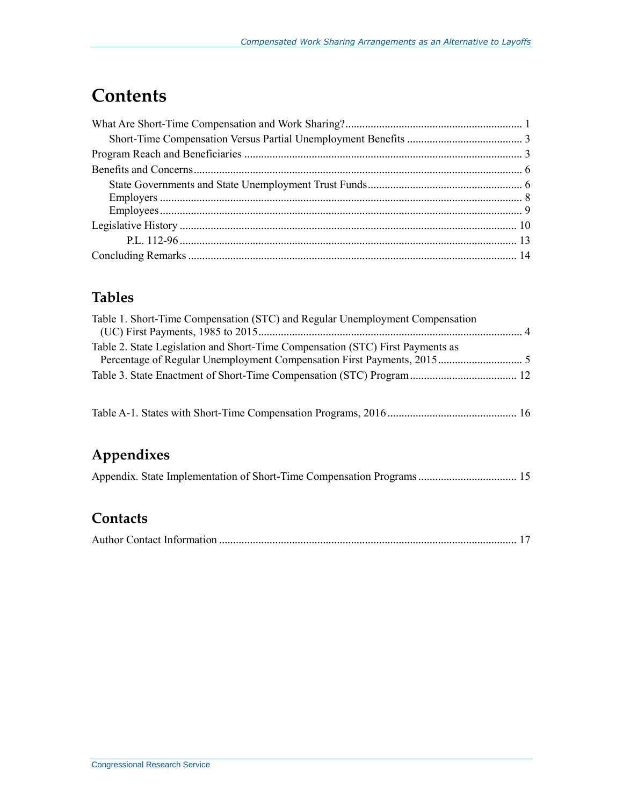## **Contents**

### **Tables**

| Table 1. Short-Time Compensation (STC) and Regular Unemployment Compensation   |  |
|--------------------------------------------------------------------------------|--|
| Table 2. State Legislation and Short-Time Compensation (STC) First Payments as |  |
|                                                                                |  |
|                                                                                |  |
|                                                                                |  |

Table A-1. States with Short-Time Compensation Programs, 2016 .............................................. 16

### **Appendixes**

|  |  |  |  |  | Appendix. State Implementation of Short-Time Compensation Programs 15 |  |
|--|--|--|--|--|-----------------------------------------------------------------------|--|
|--|--|--|--|--|-----------------------------------------------------------------------|--|

### **Contacts**

|--|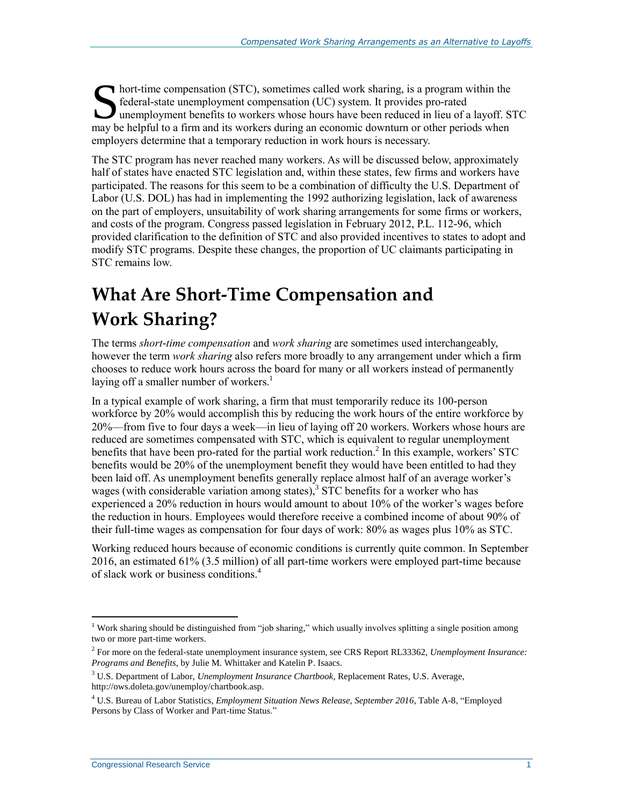hort-time compensation (STC), sometimes called work sharing, is a program within the federal-state unemployment compensation (UC) system. It provides pro-rated unemployment benefits to workers whose hours have been reduced in lieu of a layoff. STC **Solution** text time compensation (STC), sometimes called work sharing, is a program within the federal-state unemployment compensation (UC) system. It provides pro-rated unemployment benefits to workers whose hours have b employers determine that a temporary reduction in work hours is necessary.

The STC program has never reached many workers. As will be discussed below, approximately half of states have enacted STC legislation and, within these states, few firms and workers have participated. The reasons for this seem to be a combination of difficulty the U.S. Department of Labor (U.S. DOL) has had in implementing the 1992 authorizing legislation, lack of awareness on the part of employers, unsuitability of work sharing arrangements for some firms or workers, and costs of the program. Congress passed legislation in February 2012, P.L. 112-96, which provided clarification to the definition of STC and also provided incentives to states to adopt and modify STC programs. Despite these changes, the proportion of UC claimants participating in STC remains low.

## **What Are Short-Time Compensation and Work Sharing?**

The terms *short-time compensation* and *work sharing* are sometimes used interchangeably, however the term *work sharing* also refers more broadly to any arrangement under which a firm chooses to reduce work hours across the board for many or all workers instead of permanently laying off a smaller number of workers.<sup>1</sup>

In a typical example of work sharing, a firm that must temporarily reduce its 100-person workforce by 20% would accomplish this by reducing the work hours of the entire workforce by 20%—from five to four days a week—in lieu of laying off 20 workers. Workers whose hours are reduced are sometimes compensated with STC, which is equivalent to regular unemployment benefits that have been pro-rated for the partial work reduction.<sup>2</sup> In this example, workers' STC benefits would be 20% of the unemployment benefit they would have been entitled to had they been laid off. As unemployment benefits generally replace almost half of an average worker's wages (with considerable variation among states),  $3 \overline{STC}$  benefits for a worker who has experienced a 20% reduction in hours would amount to about 10% of the worker's wages before the reduction in hours. Employees would therefore receive a combined income of about 90% of their full-time wages as compensation for four days of work: 80% as wages plus 10% as STC.

Working reduced hours because of economic conditions is currently quite common. In September 2016, an estimated 61% (3.5 million) of all part-time workers were employed part-time because of slack work or business conditions.<sup>4</sup>

<sup>&</sup>lt;sup>1</sup> Work sharing should be distinguished from "job sharing," which usually involves splitting a single position among two or more part-time workers.

<sup>2</sup> For more on the federal-state unemployment insurance system, see CRS Report RL33362, *Unemployment Insurance: Programs and Benefits*, by Julie M. Whittaker and Katelin P. Isaacs.

<sup>3</sup> U.S. Department of Labor, *Unemployment Insurance Chartbook*, Replacement Rates, U.S. Average, http://ows.doleta.gov/unemploy/chartbook.asp.

<sup>4</sup> U.S. Bureau of Labor Statistics, *Employment Situation News Release*, *September 2016*, Table A-8, "Employed Persons by Class of Worker and Part-time Status."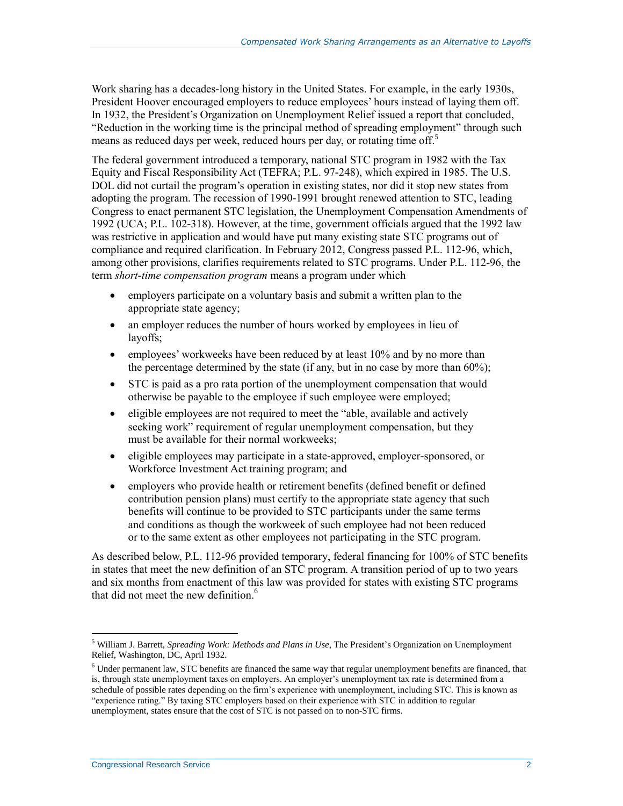Work sharing has a decades-long history in the United States. For example, in the early 1930s, President Hoover encouraged employers to reduce employees' hours instead of laying them off. In 1932, the President's Organization on Unemployment Relief issued a report that concluded, "Reduction in the working time is the principal method of spreading employment" through such means as reduced days per week, reduced hours per day, or rotating time off.<sup>5</sup>

The federal government introduced a temporary, national STC program in 1982 with the Tax Equity and Fiscal Responsibility Act (TEFRA; [P.L. 97-248\)](http://www.congress.gov/cgi-lis/bdquery/R?d097:FLD002:@1(97+248)), which expired in 1985. The U.S. DOL did not curtail the program's operation in existing states, nor did it stop new states from adopting the program. The recession of 1990-1991 brought renewed attention to STC, leading Congress to enact permanent STC legislation, the Unemployment Compensation Amendments of 1992 (UCA; P.L. 102-318). However, at the time, government officials argued that the 1992 law was restrictive in application and would have put many existing state STC programs out of compliance and required clarification. In February 2012, Congress passed [P.L. 112-96,](http://www.congress.gov/cgi-lis/bdquery/R?d112:FLD002:@1(112+96)) which, among other provisions, clarifies requirements related to STC programs. Under P.L. 112-96, the term *short-time compensation program* means a program under which

- employers participate on a voluntary basis and submit a written plan to the appropriate state agency;
- an employer reduces the number of hours worked by employees in lieu of layoffs;
- employees' workweeks have been reduced by at least 10% and by no more than the percentage determined by the state (if any, but in no case by more than 60%);
- STC is paid as a pro rata portion of the unemployment compensation that would otherwise be payable to the employee if such employee were employed;
- eligible employees are not required to meet the "able, available and actively seeking work" requirement of regular unemployment compensation, but they must be available for their normal workweeks;
- eligible employees may participate in a state-approved, employer-sponsored, or Workforce Investment Act training program; and
- employers who provide health or retirement benefits (defined benefit or defined contribution pension plans) must certify to the appropriate state agency that such benefits will continue to be provided to STC participants under the same terms and conditions as though the workweek of such employee had not been reduced or to the same extent as other employees not participating in the STC program.

As described below, [P.L. 112-96](http://www.congress.gov/cgi-lis/bdquery/R?d112:FLD002:@1(112+96)) provided temporary, federal financing for 100% of STC benefits in states that meet the new definition of an STC program. A transition period of up to two years and six months from enactment of this law was provided for states with existing STC programs that did not meet the new definition.<sup>6</sup>

<sup>5</sup> William J. Barrett, *Spreading Work: Methods and Plans in Use*, The President's Organization on Unemployment Relief, Washington, DC, April 1932.

 $6$  Under permanent law, STC benefits are financed the same way that regular unemployment benefits are financed, that is, through state unemployment taxes on employers. An employer's unemployment tax rate is determined from a schedule of possible rates depending on the firm's experience with unemployment, including STC. This is known as "experience rating." By taxing STC employers based on their experience with STC in addition to regular unemployment, states ensure that the cost of STC is not passed on to non-STC firms.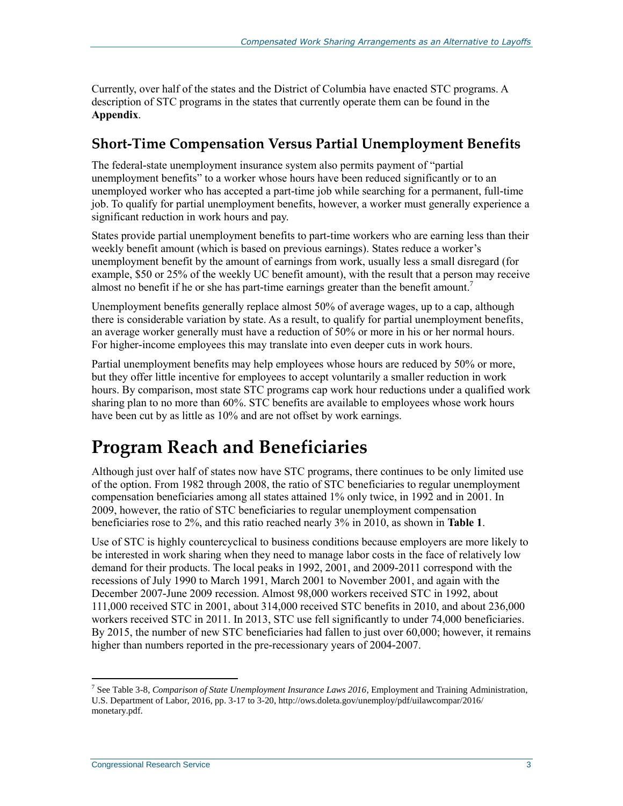Currently, over half of the states and the District of Columbia have enacted STC programs. A description of STC programs in the states that currently operate them can be found in the **[Appendix](#page-17-0)**.

### **Short-Time Compensation Versus Partial Unemployment Benefits**

The federal-state unemployment insurance system also permits payment of "partial unemployment benefits" to a worker whose hours have been reduced significantly or to an unemployed worker who has accepted a part-time job while searching for a permanent, full-time job. To qualify for partial unemployment benefits, however, a worker must generally experience a significant reduction in work hours and pay.

States provide partial unemployment benefits to part-time workers who are earning less than their weekly benefit amount (which is based on previous earnings). States reduce a worker's unemployment benefit by the amount of earnings from work, usually less a small disregard (for example, \$50 or 25% of the weekly UC benefit amount), with the result that a person may receive almost no benefit if he or she has part-time earnings greater than the benefit amount.<sup>7</sup>

Unemployment benefits generally replace almost 50% of average wages, up to a cap, although there is considerable variation by state. As a result, to qualify for partial unemployment benefits, an average worker generally must have a reduction of 50% or more in his or her normal hours. For higher-income employees this may translate into even deeper cuts in work hours.

Partial unemployment benefits may help employees whose hours are reduced by 50% or more, but they offer little incentive for employees to accept voluntarily a smaller reduction in work hours. By comparison, most state STC programs cap work hour reductions under a qualified work sharing plan to no more than 60%. STC benefits are available to employees whose work hours have been cut by as little as 10% and are not offset by work earnings.

## **Program Reach and Beneficiaries**

Although just over half of states now have STC programs, there continues to be only limited use of the option. From 1982 through 2008, the ratio of STC beneficiaries to regular unemployment compensation beneficiaries among all states attained 1% only twice, in 1992 and in 2001. In 2009, however, the ratio of STC beneficiaries to regular unemployment compensation beneficiaries rose to 2%, and this ratio reached nearly 3% in 2010, as shown in **[Table 1](#page-6-0)**.

Use of STC is highly countercyclical to business conditions because employers are more likely to be interested in work sharing when they need to manage labor costs in the face of relatively low demand for their products. The local peaks in 1992, 2001, and 2009-2011 correspond with the recessions of July 1990 to March 1991, March 2001 to November 2001, and again with the December 2007-June 2009 recession. Almost 98,000 workers received STC in 1992, about 111,000 received STC in 2001, about 314,000 received STC benefits in 2010, and about 236,000 workers received STC in 2011. In 2013, STC use fell significantly to under 74,000 beneficiaries. By 2015, the number of new STC beneficiaries had fallen to just over 60,000; however, it remains higher than numbers reported in the pre-recessionary years of 2004-2007.

<sup>7</sup> See Table 3-8, *Comparison of State Unemployment Insurance Laws 2016*, Employment and Training Administration, U.S. Department of Labor, 2016, pp. 3-17 to 3-20, http://ows.doleta.gov/unemploy/pdf/uilawcompar/2016/ monetary.pdf.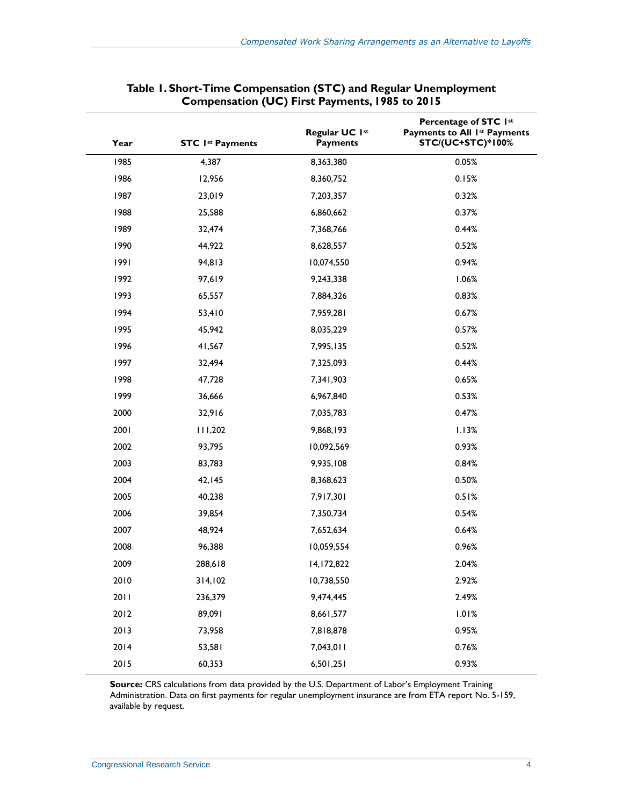<span id="page-6-0"></span>

| Year | <b>STC 1st Payments</b> | Regular UC 1st<br><b>Payments</b> | Percentage of STC 1st<br>Payments to All 1st Payments<br><b>STC/(UC+STC)*100%</b> |
|------|-------------------------|-----------------------------------|-----------------------------------------------------------------------------------|
| 1985 | 4,387                   | 8,363,380                         | 0.05%                                                                             |
| 1986 | 12,956                  | 8,360,752                         | 0.15%                                                                             |
| 1987 | 23,019                  | 7,203,357                         | 0.32%                                                                             |
| 1988 | 25,588                  | 6,860,662                         | 0.37%                                                                             |
| 1989 | 32,474                  | 7,368,766                         | 0.44%                                                                             |
| 1990 | 44,922                  | 8,628,557                         | 0.52%                                                                             |
| 1991 | 94,813                  | 10,074,550                        | 0.94%                                                                             |
| 1992 | 97,619                  | 9,243,338                         | 1.06%                                                                             |
| 1993 | 65,557                  | 7,884,326                         | 0.83%                                                                             |
| 1994 | 53,410                  | 7,959,281                         | 0.67%                                                                             |
| 1995 | 45,942                  | 8,035,229                         | 0.57%                                                                             |
| 1996 | 41,567                  | 7,995,135                         | 0.52%                                                                             |
| 1997 | 32,494                  | 7,325,093                         | 0.44%                                                                             |
| 1998 | 47,728                  | 7,341,903                         | 0.65%                                                                             |
| 1999 | 36,666                  | 6,967,840                         | 0.53%                                                                             |
| 2000 | 32,916                  | 7,035,783                         | 0.47%                                                                             |
| 2001 | 111,202                 | 9,868,193                         | 1.13%                                                                             |
| 2002 | 93,795                  | 10,092,569                        | 0.93%                                                                             |
| 2003 | 83,783                  | 9,935,108                         | 0.84%                                                                             |
| 2004 | 42,145                  | 8,368,623                         | 0.50%                                                                             |
| 2005 | 40,238                  | 7,917,301                         | 0.51%                                                                             |
| 2006 | 39,854                  | 7,350,734                         | 0.54%                                                                             |
| 2007 | 48,924                  | 7,652,634                         | 0.64%                                                                             |
| 2008 | 96,388                  | 10,059,554                        | 0.96%                                                                             |
| 2009 | 288,618                 | 14,172,822                        | 2.04%                                                                             |
| 2010 | 314,102                 | 10,738,550                        | 2.92%                                                                             |
| 2011 | 236,379                 | 9,474,445                         | 2.49%                                                                             |
| 2012 | 89,091                  | 8,661,577                         | 1.01%                                                                             |
| 2013 | 73,958                  | 7,818,878                         | 0.95%                                                                             |
| 2014 | 53,581                  | 7,043,011                         | 0.76%                                                                             |
| 2015 | 60,353                  | 6,501,251                         | 0.93%                                                                             |

| Table 1. Short-Time Compensation (STC) and Regular Unemployment |  |  |
|-----------------------------------------------------------------|--|--|
| Compensation (UC) First Payments, 1985 to 2015                  |  |  |

Source: CRS calculations from data provided by the U.S. Department of Labor's Employment Training Administration. Data on first payments for regular unemployment insurance are from ETA report No. 5-159, available by request.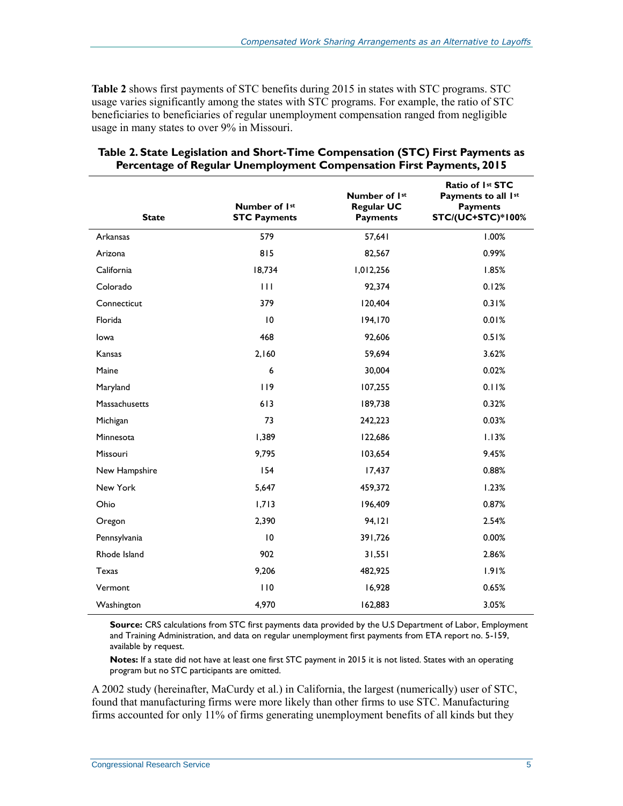**[Table 2](#page-7-0)** shows first payments of STC benefits during 2015 in states with STC programs. STC usage varies significantly among the states with STC programs. For example, the ratio of STC beneficiaries to beneficiaries of regular unemployment compensation ranged from negligible usage in many states to over 9% in Missouri.

| <b>State</b>  | Number of 1st<br><b>STC Payments</b> | Number of 1st<br><b>Regular UC</b><br><b>Payments</b> | Ratio of 1st STC<br>Payments to all 1st<br><b>Payments</b><br><b>STC/(UC+STC)*100%</b> |
|---------------|--------------------------------------|-------------------------------------------------------|----------------------------------------------------------------------------------------|
| Arkansas      | 579                                  | 57,641                                                | 1.00%                                                                                  |
| Arizona       | 815                                  | 82,567                                                | 0.99%                                                                                  |
| California    | 18,734                               | 1,012,256                                             | 1.85%                                                                                  |
| Colorado      | $\mathbf{H}$                         | 92,374                                                | 0.12%                                                                                  |
| Connecticut   | 379                                  | 120,404                                               | 0.31%                                                                                  |
| Florida       | 10                                   | 194,170                                               | 0.01%                                                                                  |
| lowa          | 468                                  | 92,606                                                | 0.51%                                                                                  |
| Kansas        | 2,160                                | 59,694                                                | 3.62%                                                                                  |
| Maine         | 6                                    | 30,004                                                | 0.02%                                                                                  |
| Maryland      | 119                                  | 107,255                                               | 0.11%                                                                                  |
| Massachusetts | 613                                  | 189,738                                               | 0.32%                                                                                  |
| Michigan      | 73                                   | 242,223                                               | 0.03%                                                                                  |
| Minnesota     | 1,389                                | 122,686                                               | 1.13%                                                                                  |
| Missouri      | 9,795                                | 103,654                                               | 9.45%                                                                                  |
| New Hampshire | 154                                  | 17,437                                                | 0.88%                                                                                  |
| New York      | 5,647                                | 459,372                                               | 1.23%                                                                                  |
| Ohio          | 1,713                                | 196,409                                               | 0.87%                                                                                  |
| Oregon        | 2,390                                | 94, 121                                               | 2.54%                                                                                  |
| Pennsylvania  | 10                                   | 391,726                                               | 0.00%                                                                                  |
| Rhode Island  | 902                                  | 31,551                                                | 2.86%                                                                                  |
| Texas         | 9,206                                | 482,925                                               | 1.91%                                                                                  |
| Vermont       | 110                                  | 16,928                                                | 0.65%                                                                                  |
| Washington    | 4,970                                | 162,883                                               | 3.05%                                                                                  |

<span id="page-7-0"></span>

| Table 2. State Legislation and Short-Time Compensation (STC) First Payments as |  |  |
|--------------------------------------------------------------------------------|--|--|
| <b>Percentage of Regular Unemployment Compensation First Payments, 2015</b>    |  |  |

**Source:** CRS calculations from STC first payments data provided by the U.S Department of Labor, Employment and Training Administration, and data on regular unemployment first payments from ETA report no. 5-159, available by request.

**Notes:** If a state did not have at least one first STC payment in 2015 it is not listed. States with an operating program but no STC participants are omitted.

A 2002 study (hereinafter, MaCurdy et al.) in California, the largest (numerically) user of STC, found that manufacturing firms were more likely than other firms to use STC. Manufacturing firms accounted for only 11% of firms generating unemployment benefits of all kinds but they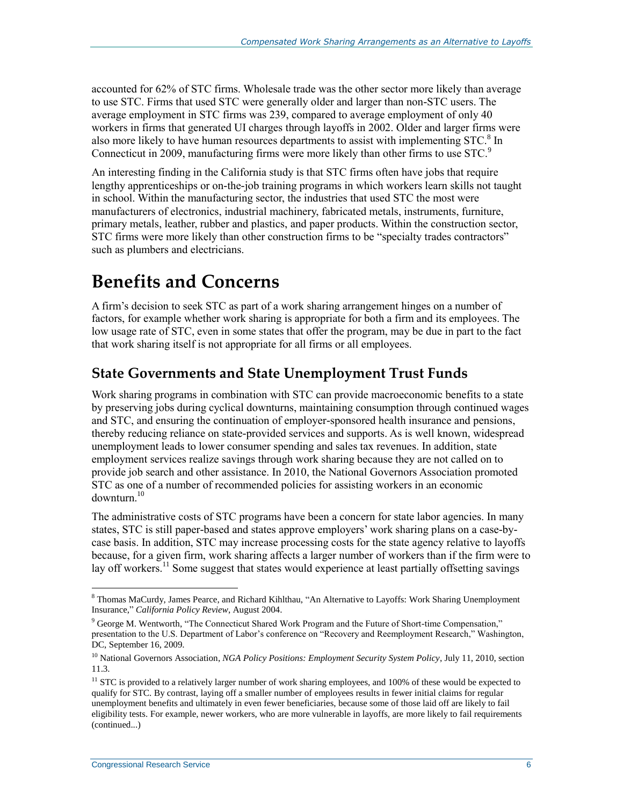accounted for 62% of STC firms. Wholesale trade was the other sector more likely than average to use STC. Firms that used STC were generally older and larger than non-STC users. The average employment in STC firms was 239, compared to average employment of only 40 workers in firms that generated UI charges through layoffs in 2002. Older and larger firms were also more likely to have human resources departments to assist with implementing STC. $8$  In Connecticut in 2009, manufacturing firms were more likely than other firms to use STC.<sup>9</sup>

An interesting finding in the California study is that STC firms often have jobs that require lengthy apprenticeships or on-the-job training programs in which workers learn skills not taught in school. Within the manufacturing sector, the industries that used STC the most were manufacturers of electronics, industrial machinery, fabricated metals, instruments, furniture, primary metals, leather, rubber and plastics, and paper products. Within the construction sector, STC firms were more likely than other construction firms to be "specialty trades contractors" such as plumbers and electricians.

## **Benefits and Concerns**

A firm's decision to seek STC as part of a work sharing arrangement hinges on a number of factors, for example whether work sharing is appropriate for both a firm and its employees. The low usage rate of STC, even in some states that offer the program, may be due in part to the fact that work sharing itself is not appropriate for all firms or all employees.

### **State Governments and State Unemployment Trust Funds**

Work sharing programs in combination with STC can provide macroeconomic benefits to a state by preserving jobs during cyclical downturns, maintaining consumption through continued wages and STC, and ensuring the continuation of employer-sponsored health insurance and pensions, thereby reducing reliance on state-provided services and supports. As is well known, widespread unemployment leads to lower consumer spending and sales tax revenues. In addition, state employment services realize savings through work sharing because they are not called on to provide job search and other assistance. In 2010, the National Governors Association promoted STC as one of a number of recommended policies for assisting workers in an economic  $downturn<sup>10</sup>$ 

The administrative costs of STC programs have been a concern for state labor agencies. In many states, STC is still paper-based and states approve employers' work sharing plans on a case-bycase basis. In addition, STC may increase processing costs for the state agency relative to layoffs because, for a given firm, work sharing affects a larger number of workers than if the firm were to lay off workers.<sup>11</sup> Some suggest that states would experience at least partially offsetting savings

 $\overline{a}$ <sup>8</sup> Thomas MaCurdy, James Pearce, and Richard Kihlthau, "An Alternative to Layoffs: Work Sharing Unemployment Insurance," *California Policy Review*, August 2004.

<sup>9</sup> George M. Wentworth, "The Connecticut Shared Work Program and the Future of Short-time Compensation," presentation to the U.S. Department of Labor's conference on "Recovery and Reemployment Research," Washington, DC, September 16, 2009.

<sup>10</sup> National Governors Association, *NGA Policy Positions: Employment Security System Policy*, July 11, 2010, section 11.3.

 $11$  STC is provided to a relatively larger number of work sharing employees, and 100% of these would be expected to qualify for STC. By contrast, laying off a smaller number of employees results in fewer initial claims for regular unemployment benefits and ultimately in even fewer beneficiaries, because some of those laid off are likely to fail eligibility tests. For example, newer workers, who are more vulnerable in layoffs, are more likely to fail requirements (continued...)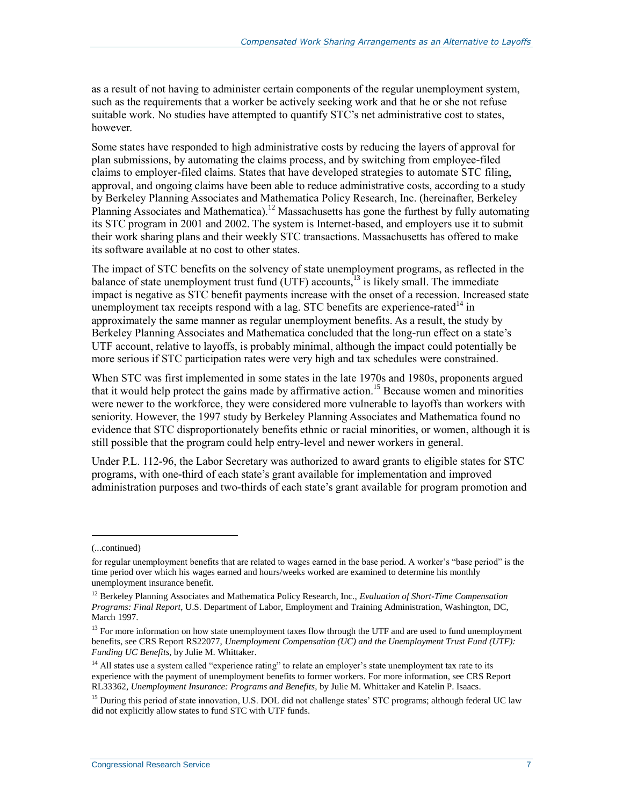as a result of not having to administer certain components of the regular unemployment system, such as the requirements that a worker be actively seeking work and that he or she not refuse suitable work. No studies have attempted to quantify STC's net administrative cost to states, however.

Some states have responded to high administrative costs by reducing the layers of approval for plan submissions, by automating the claims process, and by switching from employee-filed claims to employer-filed claims. States that have developed strategies to automate STC filing, approval, and ongoing claims have been able to reduce administrative costs, according to a study by Berkeley Planning Associates and Mathematica Policy Research, Inc. (hereinafter, Berkeley Planning Associates and Mathematica).<sup>12</sup> Massachusetts has gone the furthest by fully automating its STC program in 2001 and 2002. The system is Internet-based, and employers use it to submit their work sharing plans and their weekly STC transactions. Massachusetts has offered to make its software available at no cost to other states.

The impact of STC benefits on the solvency of state unemployment programs, as reflected in the balance of state unemployment trust fund  $(UTF)$  accounts,  $^{13}$  is likely small. The immediate impact is negative as STC benefit payments increase with the onset of a recession. Increased state unemployment tax receipts respond with a lag. STC benefits are experience-rated<sup>14</sup> in approximately the same manner as regular unemployment benefits. As a result, the study by Berkeley Planning Associates and Mathematica concluded that the long-run effect on a state's UTF account, relative to layoffs, is probably minimal, although the impact could potentially be more serious if STC participation rates were very high and tax schedules were constrained.

When STC was first implemented in some states in the late 1970s and 1980s, proponents argued that it would help protect the gains made by affirmative action.<sup>15</sup> Because women and minorities were newer to the workforce, they were considered more vulnerable to layoffs than workers with seniority. However, the 1997 study by Berkeley Planning Associates and Mathematica found no evidence that STC disproportionately benefits ethnic or racial minorities, or women, although it is still possible that the program could help entry-level and newer workers in general.

Under P.L. 112-96, the Labor Secretary was authorized to award grants to eligible states for STC programs, with one-third of each state's grant available for implementation and improved administration purposes and two-thirds of each state's grant available for program promotion and

<sup>(...</sup>continued)

for regular unemployment benefits that are related to wages earned in the base period. A worker's "base period" is the time period over which his wages earned and hours/weeks worked are examined to determine his monthly unemployment insurance benefit.

<sup>12</sup> Berkeley Planning Associates and Mathematica Policy Research, Inc., *Evaluation of Short-Time Compensation Programs: Final Report*, U.S. Department of Labor, Employment and Training Administration, Washington, DC, March 1997.

<sup>&</sup>lt;sup>13</sup> For more information on how state unemployment taxes flow through the UTF and are used to fund unemployment benefits, see CRS Report RS22077, *Unemployment Compensation (UC) and the Unemployment Trust Fund (UTF): Funding UC Benefits*, by Julie M. Whittaker.

<sup>&</sup>lt;sup>14</sup> All states use a system called "experience rating" to relate an employer's state unemployment tax rate to its experience with the payment of unemployment benefits to former workers. For more information, see CRS Report RL33362, *Unemployment Insurance: Programs and Benefits*, by Julie M. Whittaker and Katelin P. Isaacs.

<sup>&</sup>lt;sup>15</sup> During this period of state innovation, U.S. DOL did not challenge states' STC programs; although federal UC law did not explicitly allow states to fund STC with UTF funds.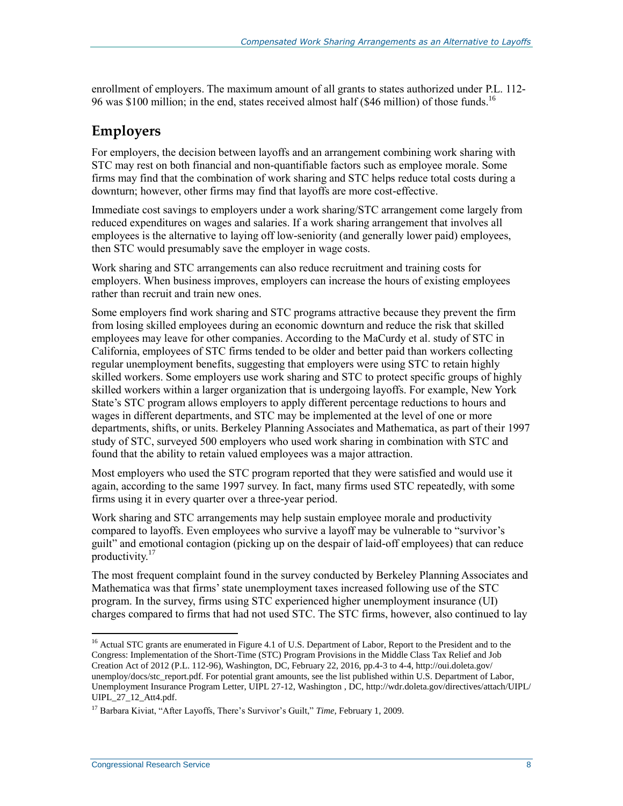enrollment of employers. The maximum amount of all grants to states authorized under [P.L. 112-](http://www.congress.gov/cgi-lis/bdquery/R?d112:FLD002:@1(112+96)) [96](http://www.congress.gov/cgi-lis/bdquery/R?d112:FLD002:@1(112+96)) was \$100 million; in the end, states received almost half (\$46 million) of those funds.<sup>16</sup>

### **Employers**

For employers, the decision between layoffs and an arrangement combining work sharing with STC may rest on both financial and non-quantifiable factors such as employee morale. Some firms may find that the combination of work sharing and STC helps reduce total costs during a downturn; however, other firms may find that layoffs are more cost-effective.

Immediate cost savings to employers under a work sharing/STC arrangement come largely from reduced expenditures on wages and salaries. If a work sharing arrangement that involves all employees is the alternative to laying off low-seniority (and generally lower paid) employees, then STC would presumably save the employer in wage costs.

Work sharing and STC arrangements can also reduce recruitment and training costs for employers. When business improves, employers can increase the hours of existing employees rather than recruit and train new ones.

Some employers find work sharing and STC programs attractive because they prevent the firm from losing skilled employees during an economic downturn and reduce the risk that skilled employees may leave for other companies. According to the MaCurdy et al. study of STC in California, employees of STC firms tended to be older and better paid than workers collecting regular unemployment benefits, suggesting that employers were using STC to retain highly skilled workers. Some employers use work sharing and STC to protect specific groups of highly skilled workers within a larger organization that is undergoing layoffs. For example, New York State's STC program allows employers to apply different percentage reductions to hours and wages in different departments, and STC may be implemented at the level of one or more departments, shifts, or units. Berkeley Planning Associates and Mathematica, as part of their 1997 study of STC, surveyed 500 employers who used work sharing in combination with STC and found that the ability to retain valued employees was a major attraction.

Most employers who used the STC program reported that they were satisfied and would use it again, according to the same 1997 survey. In fact, many firms used STC repeatedly, with some firms using it in every quarter over a three-year period.

Work sharing and STC arrangements may help sustain employee morale and productivity compared to layoffs. Even employees who survive a layoff may be vulnerable to "survivor's guilt" and emotional contagion (picking up on the despair of laid-off employees) that can reduce productivity.<sup>17</sup>

The most frequent complaint found in the survey conducted by Berkeley Planning Associates and Mathematica was that firms' state unemployment taxes increased following use of the STC program. In the survey, firms using STC experienced higher unemployment insurance (UI) charges compared to firms that had not used STC. The STC firms, however, also continued to lay

<sup>&</sup>lt;sup>16</sup> Actual STC grants are enumerated in Figure 4.1 of U.S. Department of Labor, Report to the President and to the Congress: Implementation of the Short-Time (STC) Program Provisions in the Middle Class Tax Relief and Job Creation Act of 2012 (P.L. 112-96), Washington, DC, February 22, 2016, pp.4-3 to 4-4, http://oui.doleta.gov/ unemploy/docs/stc\_report.pdf. For potential grant amounts, see the list published within U.S. Department of Labor, Unemployment Insurance Program Letter, UIPL 27-12, Washington , DC, http://wdr.doleta.gov/directives/attach/UIPL/ UIPL\_27\_12\_Att4.pdf.

<sup>17</sup> Barbara Kiviat, "After Layoffs, There's Survivor's Guilt," *Time*, February 1, 2009.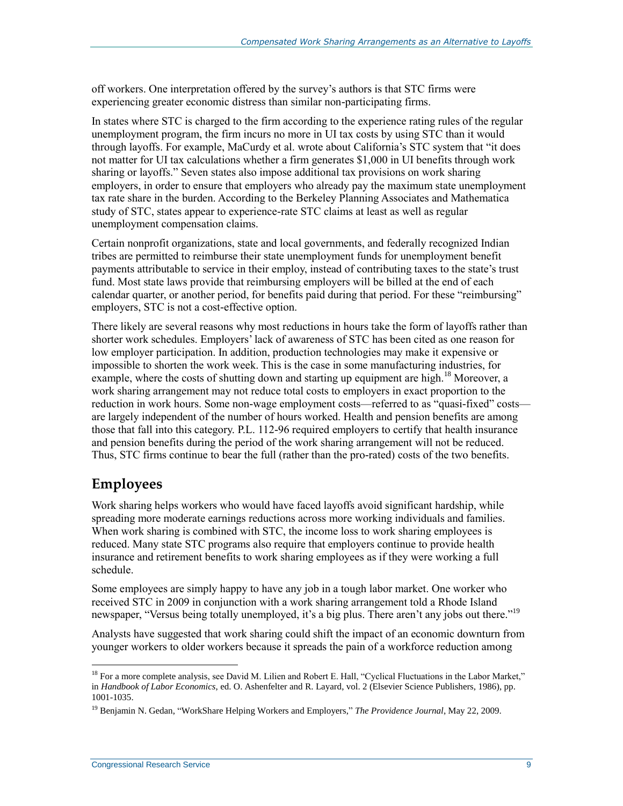off workers. One interpretation offered by the survey's authors is that STC firms were experiencing greater economic distress than similar non-participating firms.

In states where STC is charged to the firm according to the experience rating rules of the regular unemployment program, the firm incurs no more in UI tax costs by using STC than it would through layoffs. For example, MaCurdy et al. wrote about California's STC system that "it does not matter for UI tax calculations whether a firm generates \$1,000 in UI benefits through work sharing or layoffs." Seven states also impose additional tax provisions on work sharing employers, in order to ensure that employers who already pay the maximum state unemployment tax rate share in the burden. According to the Berkeley Planning Associates and Mathematica study of STC, states appear to experience-rate STC claims at least as well as regular unemployment compensation claims.

Certain nonprofit organizations, state and local governments, and federally recognized Indian tribes are permitted to reimburse their state unemployment funds for unemployment benefit payments attributable to service in their employ, instead of contributing taxes to the state's trust fund. Most state laws provide that reimbursing employers will be billed at the end of each calendar quarter, or another period, for benefits paid during that period. For these "reimbursing" employers, STC is not a cost-effective option.

There likely are several reasons why most reductions in hours take the form of layoffs rather than shorter work schedules. Employers' lack of awareness of STC has been cited as one reason for low employer participation. In addition, production technologies may make it expensive or impossible to shorten the work week. This is the case in some manufacturing industries, for example, where the costs of shutting down and starting up equipment are high.<sup>18</sup> Moreover, a work sharing arrangement may not reduce total costs to employers in exact proportion to the reduction in work hours. Some non-wage employment costs—referred to as "quasi-fixed" costs are largely independent of the number of hours worked. Health and pension benefits are among those that fall into this category. P.L. 112-96 required employers to certify that health insurance and pension benefits during the period of the work sharing arrangement will not be reduced. Thus, STC firms continue to bear the full (rather than the pro-rated) costs of the two benefits.

#### **Employees**

 $\overline{a}$ 

Work sharing helps workers who would have faced layoffs avoid significant hardship, while spreading more moderate earnings reductions across more working individuals and families. When work sharing is combined with STC, the income loss to work sharing employees is reduced. Many state STC programs also require that employers continue to provide health insurance and retirement benefits to work sharing employees as if they were working a full schedule.

Some employees are simply happy to have any job in a tough labor market. One worker who received STC in 2009 in conjunction with a work sharing arrangement told a Rhode Island newspaper, "Versus being totally unemployed, it's a big plus. There aren't any jobs out there."<sup>19</sup>

Analysts have suggested that work sharing could shift the impact of an economic downturn from younger workers to older workers because it spreads the pain of a workforce reduction among

<sup>&</sup>lt;sup>18</sup> For a more complete analysis, see David M. Lilien and Robert E. Hall, "Cyclical Fluctuations in the Labor Market," in *Handbook of Labor Economics*, ed. O. Ashenfelter and R. Layard, vol. 2 (Elsevier Science Publishers, 1986), pp. 1001-1035.

<sup>&</sup>lt;sup>19</sup> Beniamin N. Gedan, "WorkShare Helping Workers and Employers," *The Providence Journal*, May 22, 2009.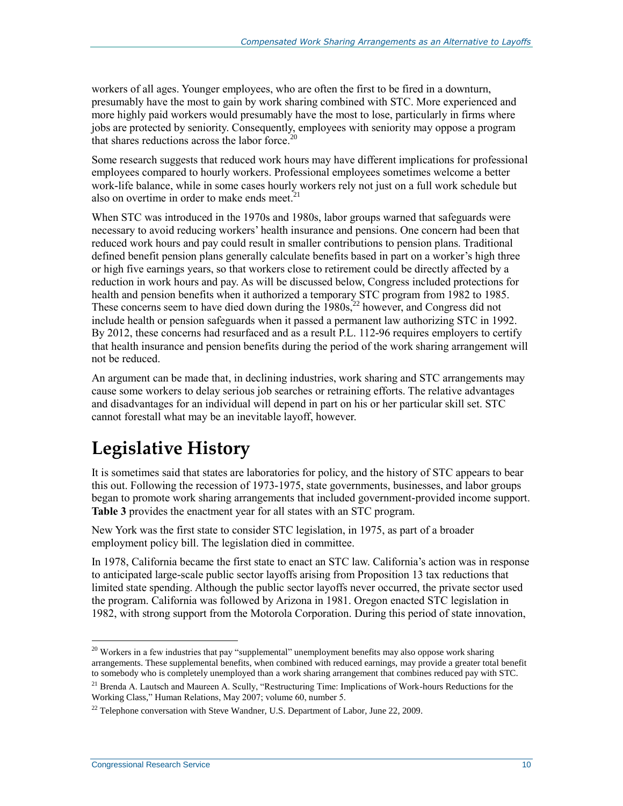workers of all ages. Younger employees, who are often the first to be fired in a downturn, presumably have the most to gain by work sharing combined with STC. More experienced and more highly paid workers would presumably have the most to lose, particularly in firms where jobs are protected by seniority. Consequently, employees with seniority may oppose a program that shares reductions across the labor force. $20$ 

Some research suggests that reduced work hours may have different implications for professional employees compared to hourly workers. Professional employees sometimes welcome a better work-life balance, while in some cases hourly workers rely not just on a full work schedule but also on overtime in order to make ends meet. $21$ 

When STC was introduced in the 1970s and 1980s, labor groups warned that safeguards were necessary to avoid reducing workers' health insurance and pensions. One concern had been that reduced work hours and pay could result in smaller contributions to pension plans. Traditional defined benefit pension plans generally calculate benefits based in part on a worker's high three or high five earnings years, so that workers close to retirement could be directly affected by a reduction in work hours and pay. As will be discussed below, Congress included protections for health and pension benefits when it authorized a temporary STC program from 1982 to 1985. These concerns seem to have died down during the 1980s,<sup>22</sup> however, and Congress did not include health or pension safeguards when it passed a permanent law authorizing STC in 1992. By 2012, these concerns had resurfaced and as a result [P.L. 112-96](http://www.congress.gov/cgi-lis/bdquery/R?d112:FLD002:@1(112+96)) requires employers to certify that health insurance and pension benefits during the period of the work sharing arrangement will not be reduced.

An argument can be made that, in declining industries, work sharing and STC arrangements may cause some workers to delay serious job searches or retraining efforts. The relative advantages and disadvantages for an individual will depend in part on his or her particular skill set. STC cannot forestall what may be an inevitable layoff, however.

## **Legislative History**

It is sometimes said that states are laboratories for policy, and the history of STC appears to bear this out. Following the recession of 1973-1975, state governments, businesses, and labor groups began to promote work sharing arrangements that included government-provided income support. **[Table 3](#page-14-0)** provides the enactment year for all states with an STC program.

New York was the first state to consider STC legislation, in 1975, as part of a broader employment policy bill. The legislation died in committee.

In 1978, California became the first state to enact an STC law. California's action was in response to anticipated large-scale public sector layoffs arising from Proposition 13 tax reductions that limited state spending. Although the public sector layoffs never occurred, the private sector used the program. California was followed by Arizona in 1981. Oregon enacted STC legislation in 1982, with strong support from the Motorola Corporation. During this period of state innovation,

<sup>&</sup>lt;sup>20</sup> Workers in a few industries that pay "supplemental" unemployment benefits may also oppose work sharing arrangements. These supplemental benefits, when combined with reduced earnings, may provide a greater total benefit to somebody who is completely unemployed than a work sharing arrangement that combines reduced pay with STC.

 $^{21}$  Brenda A. Lautsch and Maureen A. Scully, "Restructuring Time: Implications of Work-hours Reductions for the Working Class," Human Relations, May 2007; volume 60, number 5.

 $^{22}$  Telephone conversation with Steve Wandner, U.S. Department of Labor, June 22, 2009.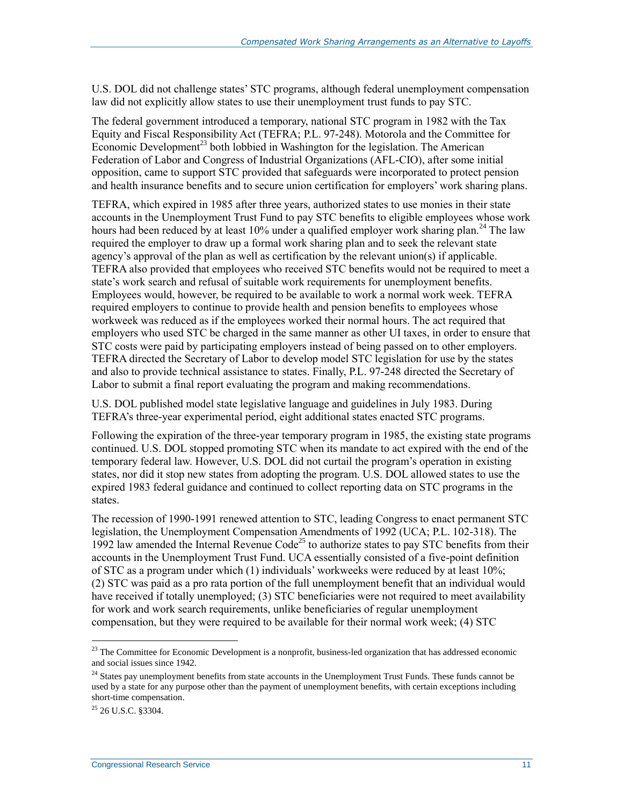U.S. DOL did not challenge states' STC programs, although federal unemployment compensation law did not explicitly allow states to use their unemployment trust funds to pay STC.

The federal government introduced a temporary, national STC program in 1982 with the Tax Equity and Fiscal Responsibility Act (TEFRA; P.L. 97-248). Motorola and the Committee for Economic Development<sup>23</sup> both lobbied in Washington for the legislation. The American Federation of Labor and Congress of Industrial Organizations (AFL-CIO), after some initial opposition, came to support STC provided that safeguards were incorporated to protect pension and health insurance benefits and to secure union certification for employers' work sharing plans.

TEFRA, which expired in 1985 after three years, authorized states to use monies in their state accounts in the Unemployment Trust Fund to pay STC benefits to eligible employees whose work hours had been reduced by at least  $10\%$  under a qualified employer work sharing plan.<sup>24</sup> The law required the employer to draw up a formal work sharing plan and to seek the relevant state agency's approval of the plan as well as certification by the relevant union(s) if applicable. TEFRA also provided that employees who received STC benefits would not be required to meet a state's work search and refusal of suitable work requirements for unemployment benefits. Employees would, however, be required to be available to work a normal work week. TEFRA required employers to continue to provide health and pension benefits to employees whose workweek was reduced as if the employees worked their normal hours. The act required that employers who used STC be charged in the same manner as other UI taxes, in order to ensure that STC costs were paid by participating employers instead of being passed on to other employers. TEFRA directed the Secretary of Labor to develop model STC legislation for use by the states and also to provide technical assistance to states. Finally, [P.L. 97-248](http://www.congress.gov/cgi-lis/bdquery/R?d097:FLD002:@1(97+248)) directed the Secretary of Labor to submit a final report evaluating the program and making recommendations.

U.S. DOL published model state legislative language and guidelines in July 1983. During TEFRA's three-year experimental period, eight additional states enacted STC programs.

Following the expiration of the three-year temporary program in 1985, the existing state programs continued. U.S. DOL stopped promoting STC when its mandate to act expired with the end of the temporary federal law. However, U.S. DOL did not curtail the program's operation in existing states, nor did it stop new states from adopting the program. U.S. DOL allowed states to use the expired 1983 federal guidance and continued to collect reporting data on STC programs in the states.

The recession of 1990-1991 renewed attention to STC, leading Congress to enact permanent STC legislation, the Unemployment Compensation Amendments of 1992 (UCA; P.L. 102-318). The 1992 law amended the Internal Revenue Code<sup>25</sup> to authorize states to pay STC benefits from their accounts in the Unemployment Trust Fund. UCA essentially consisted of a five-point definition of STC as a program under which (1) individuals' workweeks were reduced by at least 10%; (2) STC was paid as a pro rata portion of the full unemployment benefit that an individual would have received if totally unemployed; (3) STC beneficiaries were not required to meet availability for work and work search requirements, unlike beneficiaries of regular unemployment compensation, but they were required to be available for their normal work week; (4) STC

 $^{23}$  The Committee for Economic Development is a nonprofit, business-led organization that has addressed economic and social issues since 1942.

<sup>&</sup>lt;sup>24</sup> States pay unemployment benefits from state accounts in the Unemployment Trust Funds. These funds cannot be used by a state for any purpose other than the payment of unemployment benefits, with certain exceptions including short-time compensation.

 $^{25}$  26 U.S.C. 83304.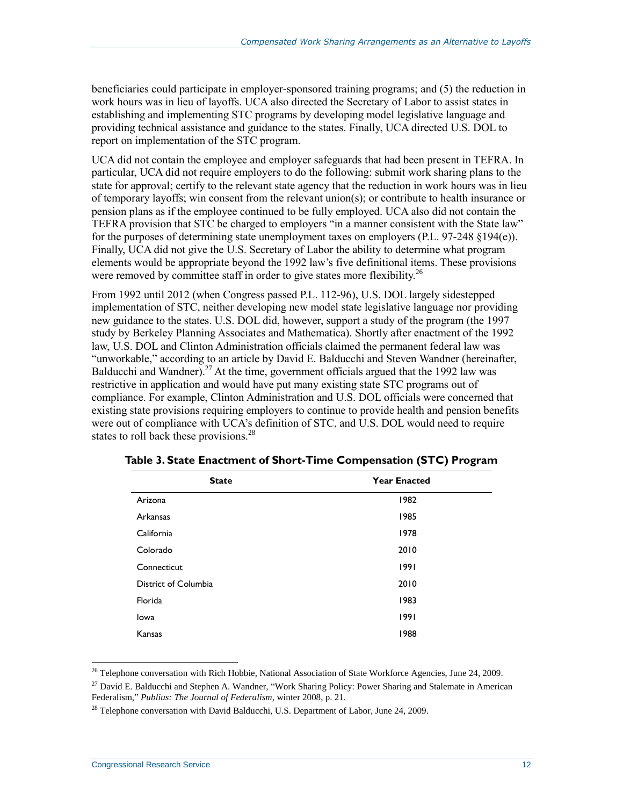beneficiaries could participate in employer-sponsored training programs; and (5) the reduction in work hours was in lieu of layoffs. UCA also directed the Secretary of Labor to assist states in establishing and implementing STC programs by developing model legislative language and providing technical assistance and guidance to the states. Finally, UCA directed U.S. DOL to report on implementation of the STC program.

UCA did not contain the employee and employer safeguards that had been present in TEFRA. In particular, UCA did not require employers to do the following: submit work sharing plans to the state for approval; certify to the relevant state agency that the reduction in work hours was in lieu of temporary layoffs; win consent from the relevant union(s); or contribute to health insurance or pension plans as if the employee continued to be fully employed. UCA also did not contain the TEFRA provision that STC be charged to employers "in a manner consistent with the State law" for the purposes of determining state unemployment taxes on employers [\(P.L. 97-248](http://www.congress.gov/cgi-lis/bdquery/R?d097:FLD002:@1(97+248)) §194(e)). Finally, UCA did not give the U.S. Secretary of Labor the ability to determine what program elements would be appropriate beyond the 1992 law's five definitional items. These provisions were removed by committee staff in order to give states more flexibility.<sup>26</sup>

From 1992 until 2012 (when Congress passed P.L. 112-96), U.S. DOL largely sidestepped implementation of STC, neither developing new model state legislative language nor providing new guidance to the states. U.S. DOL did, however, support a study of the program (the 1997 study by Berkeley Planning Associates and Mathematica). Shortly after enactment of the 1992 law, U.S. DOL and Clinton Administration officials claimed the permanent federal law was "unworkable," according to an article by David E. Balducchi and Steven Wandner (hereinafter, Balducchi and Wandner).<sup>27</sup> At the time, government officials argued that the 1992 law was restrictive in application and would have put many existing state STC programs out of compliance. For example, Clinton Administration and U.S. DOL officials were concerned that existing state provisions requiring employers to continue to provide health and pension benefits were out of compliance with UCA's definition of STC, and U.S. DOL would need to require states to roll back these provisions.<sup>28</sup>

| <b>State</b>         | <b>Year Enacted</b> |
|----------------------|---------------------|
| Arizona              | 1982                |
| Arkansas             | 1985                |
| California           | 1978                |
| Colorado             | 2010                |
| Connecticut          | 1991                |
| District of Columbia | 2010                |
| Florida              | 1983                |
| Iowa                 | 1991                |
| Kansas               | 1988                |

<span id="page-14-0"></span>**Table 3. State Enactment of Short-Time Compensation (STC) Program**

<sup>&</sup>lt;sup>26</sup> Telephone conversation with Rich Hobbie, National Association of State Workforce Agencies, June 24, 2009.

<sup>&</sup>lt;sup>27</sup> David E. Balducchi and Stephen A. Wandner, "Work Sharing Policy: Power Sharing and Stalemate in American Federalism," *Publius: The Journal of Federalism*, winter 2008, p. 21.

 $^{28}$  Telephone conversation with David Balducchi, U.S. Department of Labor, June 24, 2009.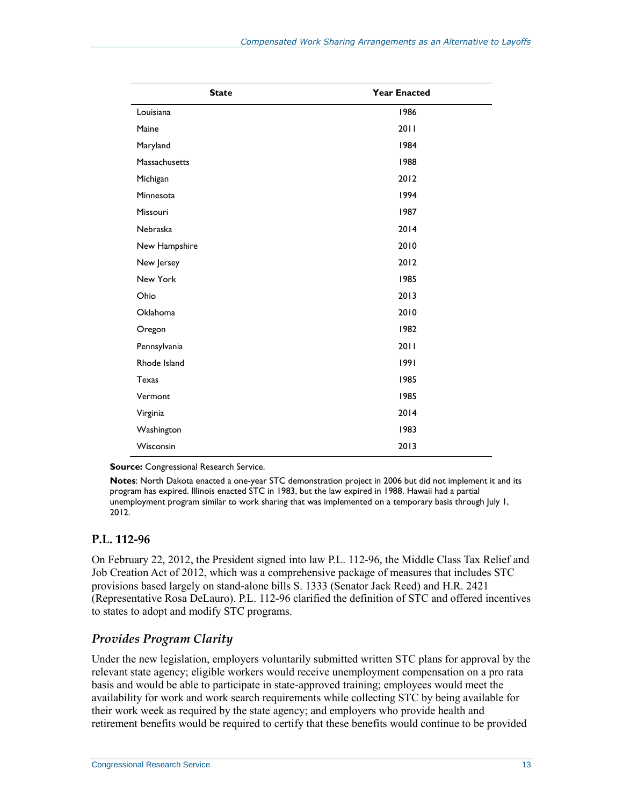| <b>State</b>    | <b>Year Enacted</b> |
|-----------------|---------------------|
| Louisiana       | 1986                |
| Maine           | 2011                |
| Maryland        | 1984                |
| Massachusetts   | 1988                |
| Michigan        | 2012                |
| Minnesota       | 1994                |
| Missouri        | 1987                |
| Nebraska        | 2014                |
| New Hampshire   | 2010                |
| New Jersey      | 2012                |
| New York        | 1985                |
| Ohio            | 2013                |
| <b>Oklahoma</b> | 2010                |
| Oregon          | 1982                |
| Pennsylvania    | 2011                |
| Rhode Island    | 1991                |
| Texas           | 1985                |
| Vermont         | 1985                |
| Virginia        | 2014                |
| Washington      | 1983                |
| Wisconsin       | 2013                |

**Source:** Congressional Research Service.

**Notes**: North Dakota enacted a one-year STC demonstration project in 2006 but did not implement it and its program has expired. Illinois enacted STC in 1983, but the law expired in 1988. Hawaii had a partial unemployment program similar to work sharing that was implemented on a temporary basis through July 1, 2012.

#### **P.L. 112-96**

On February 22, 2012, the President signed into law [P.L. 112-96,](http://www.congress.gov/cgi-lis/bdquery/R?d112:FLD002:@1(112+96)) the Middle Class Tax Relief and Job Creation Act of 2012, which was a comprehensive package of measures that includes STC provisions based largely on stand-alone bills S. 1333 (Senator Jack Reed) an[d H.R. 2421](http://www.congress.gov/cgi-lis/bdquery/z?d112:H.R.2421:) (Representative Rosa DeLauro). P.L. 112-96 clarified the definition of STC and offered incentives to states to adopt and modify STC programs.

#### *Provides Program Clarity*

Under the new legislation, employers voluntarily submitted written STC plans for approval by the relevant state agency; eligible workers would receive unemployment compensation on a pro rata basis and would be able to participate in state-approved training; employees would meet the availability for work and work search requirements while collecting STC by being available for their work week as required by the state agency; and employers who provide health and retirement benefits would be required to certify that these benefits would continue to be provided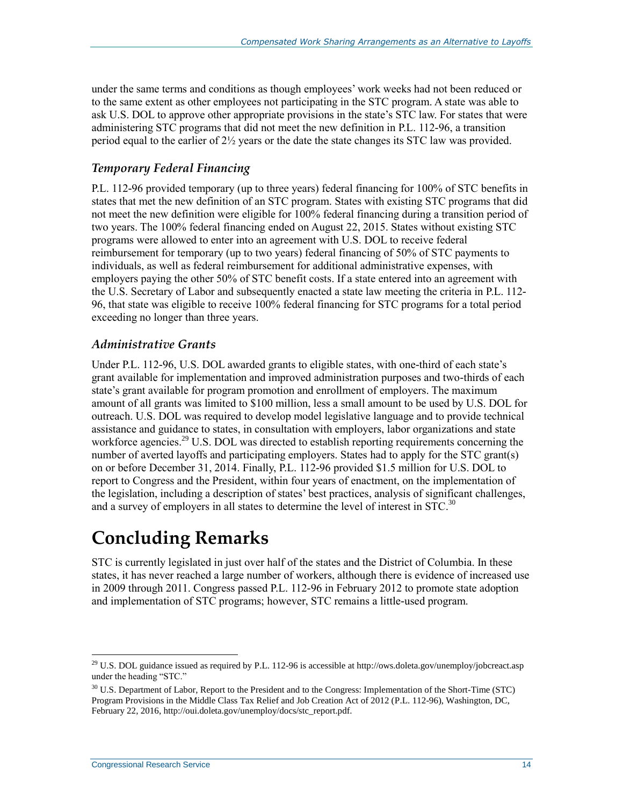under the same terms and conditions as though employees' work weeks had not been reduced or to the same extent as other employees not participating in the STC program. A state was able to ask U.S. DOL to approve other appropriate provisions in the state's STC law. For states that were administering STC programs that did not meet the new definition in [P.L. 112-96,](http://www.congress.gov/cgi-lis/bdquery/R?d112:FLD002:@1(112+96)) a transition period equal to the earlier of  $2\frac{1}{2}$  years or the date the state changes its STC law was provided.

#### *Temporary Federal Financing*

P.L. 112-96 provided temporary (up to three years) federal financing for 100% of STC benefits in states that met the new definition of an STC program. States with existing STC programs that did not meet the new definition were eligible for 100% federal financing during a transition period of two years. The 100% federal financing ended on August 22, 2015. States without existing STC programs were allowed to enter into an agreement with U.S. DOL to receive federal reimbursement for temporary (up to two years) federal financing of 50% of STC payments to individuals, as well as federal reimbursement for additional administrative expenses, with employers paying the other 50% of STC benefit costs. If a state entered into an agreement with the U.S. Secretary of Labor and subsequently enacted a state law meeting the criteria in [P.L. 112-](http://www.congress.gov/cgi-lis/bdquery/R?d112:FLD002:@1(112+96)) [96,](http://www.congress.gov/cgi-lis/bdquery/R?d112:FLD002:@1(112+96)) that state was eligible to receive 100% federal financing for STC programs for a total period exceeding no longer than three years.

#### *Administrative Grants*

Under P.L. 112-96, U.S. DOL awarded grants to eligible states, with one-third of each state's grant available for implementation and improved administration purposes and two-thirds of each state's grant available for program promotion and enrollment of employers. The maximum amount of all grants was limited to \$100 million, less a small amount to be used by U.S. DOL for outreach. U.S. DOL was required to develop model legislative language and to provide technical assistance and guidance to states, in consultation with employers, labor organizations and state workforce agencies.<sup>29</sup> U.S. DOL was directed to establish reporting requirements concerning the number of averted layoffs and participating employers. States had to apply for the STC grant(s) on or before December 31, 2014. Finally, [P.L. 112-96](http://www.congress.gov/cgi-lis/bdquery/R?d112:FLD002:@1(112+96)) provided \$1.5 million for U.S. DOL to report to Congress and the President, within four years of enactment, on the implementation of the legislation, including a description of states' best practices, analysis of significant challenges, and a survey of employers in all states to determine the level of interest in STC.<sup>30</sup>

## **Concluding Remarks**

STC is currently legislated in just over half of the states and the District of Columbia. In these states, it has never reached a large number of workers, although there is evidence of increased use in 2009 through 2011. Congress passed P.L. 112-96 in February 2012 to promote state adoption and implementation of STC programs; however, STC remains a little-used program.

 $^{29}$  U.S. DOL guidance issued as required by P.L. 112-96 is accessible at http://ows.doleta.gov/unemploy/jobcreact.asp under the heading "STC."

<sup>&</sup>lt;sup>30</sup> U.S. Department of Labor, Report to the President and to the Congress: Implementation of the Short-Time (STC) Program Provisions in the Middle Class Tax Relief and Job Creation Act of 2012 (P.L. 112-96), Washington, DC, February 22, 2016, http://oui.doleta.gov/unemploy/docs/stc\_report.pdf.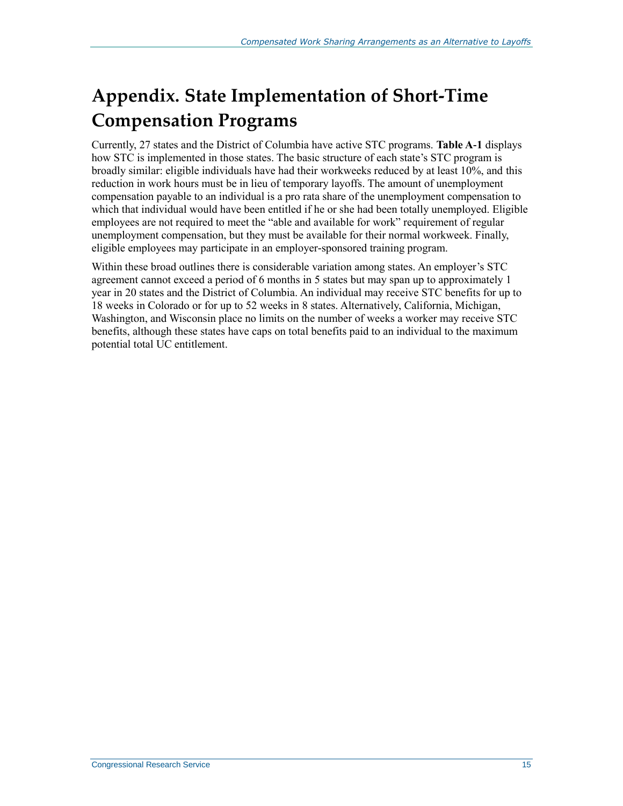## <span id="page-17-0"></span>**Appendix. State Implementation of Short-Time Compensation Programs**

Currently, 27 states and the District of Columbia have active STC programs. **[Table A](#page-18-0)-1** displays how STC is implemented in those states. The basic structure of each state's STC program is broadly similar: eligible individuals have had their workweeks reduced by at least 10%, and this reduction in work hours must be in lieu of temporary layoffs. The amount of unemployment compensation payable to an individual is a pro rata share of the unemployment compensation to which that individual would have been entitled if he or she had been totally unemployed. Eligible employees are not required to meet the "able and available for work" requirement of regular unemployment compensation, but they must be available for their normal workweek. Finally, eligible employees may participate in an employer-sponsored training program.

Within these broad outlines there is considerable variation among states. An employer's STC agreement cannot exceed a period of 6 months in 5 states but may span up to approximately 1 year in 20 states and the District of Columbia. An individual may receive STC benefits for up to 18 weeks in Colorado or for up to 52 weeks in 8 states. Alternatively, California, Michigan, Washington, and Wisconsin place no limits on the number of weeks a worker may receive STC benefits, although these states have caps on total benefits paid to an individual to the maximum potential total UC entitlement.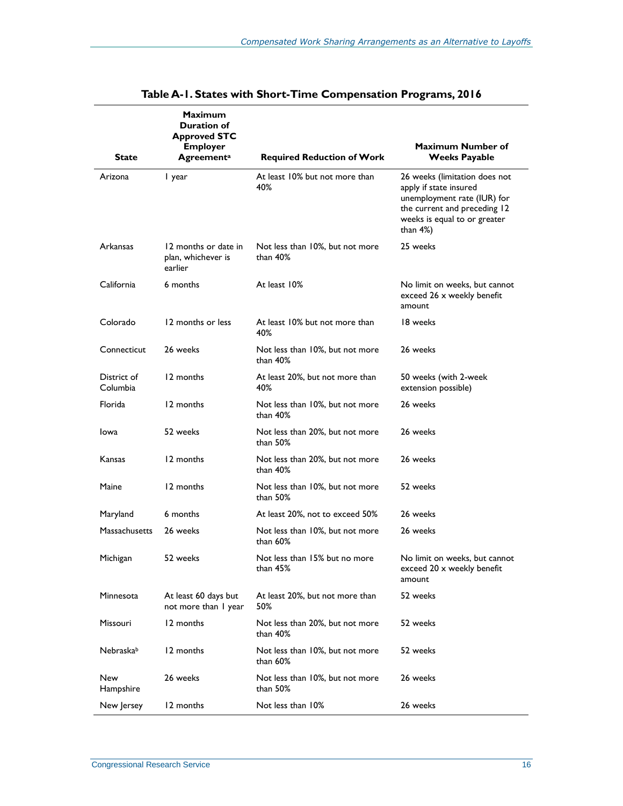<span id="page-18-0"></span>

|                         | <b>Maximum</b><br><b>Duration of</b><br><b>Approved STC</b><br><b>Employer</b> |                                                | <b>Maximum Number of</b>                                                                                                                                               |
|-------------------------|--------------------------------------------------------------------------------|------------------------------------------------|------------------------------------------------------------------------------------------------------------------------------------------------------------------------|
| <b>State</b>            | <b>Agreementa</b>                                                              | <b>Required Reduction of Work</b>              | <b>Weeks Payable</b>                                                                                                                                                   |
| Arizona                 | I year                                                                         | At least 10% but not more than<br>40%          | 26 weeks (limitation does not<br>apply if state insured<br>unemployment rate (IUR) for<br>the current and preceding 12<br>weeks is equal to or greater<br>than $4\%$ ) |
| <b>Arkansas</b>         | 12 months or date in<br>plan, whichever is<br>earlier                          | Not less than 10%, but not more<br>than 40%    | 25 weeks                                                                                                                                                               |
| California              | 6 months                                                                       | At least 10%                                   | No limit on weeks, but cannot<br>exceed 26 x weekly benefit<br>amount                                                                                                  |
| Colorado                | 12 months or less                                                              | At least 10% but not more than<br>40%          | 18 weeks                                                                                                                                                               |
| Connecticut             | 26 weeks                                                                       | Not less than 10%, but not more<br>than $40\%$ | 26 weeks                                                                                                                                                               |
| District of<br>Columbia | 12 months                                                                      | At least 20%, but not more than<br>40%         | 50 weeks (with 2-week<br>extension possible)                                                                                                                           |
| Florida                 | 12 months                                                                      | Not less than 10%, but not more<br>than $40\%$ | 26 weeks                                                                                                                                                               |
| Iowa                    | 52 weeks                                                                       | Not less than 20%, but not more<br>than 50%    | 26 weeks                                                                                                                                                               |
| Kansas                  | 12 months                                                                      | Not less than 20%, but not more<br>than $40\%$ | 26 weeks                                                                                                                                                               |
| Maine                   | 12 months                                                                      | Not less than 10%, but not more<br>than 50%    | 52 weeks                                                                                                                                                               |
| Maryland                | 6 months                                                                       | At least 20%, not to exceed 50%                | 26 weeks                                                                                                                                                               |
| Massachusetts           | 26 weeks                                                                       | Not less than 10%, but not more<br>than 60%    | 26 weeks                                                                                                                                                               |
| Michigan                | 52 weeks                                                                       | Not less than 15% but no more<br>than $45\%$   | No limit on weeks, but cannot<br>exceed 20 x weekly benefit<br>amount                                                                                                  |
| Minnesota               | At least 60 days but<br>not more than I year                                   | At least 20%, but not more than<br>50%         | 52 weeks                                                                                                                                                               |
| Missouri                | 12 months                                                                      | Not less than 20%, but not more<br>than $40\%$ | 52 weeks                                                                                                                                                               |
| Nebraskab               | 12 months                                                                      | Not less than 10%, but not more<br>than 60%    | 52 weeks                                                                                                                                                               |
| New<br>Hampshire        | 26 weeks                                                                       | Not less than 10%, but not more<br>than 50%    | 26 weeks                                                                                                                                                               |
| New Jersey              | 12 months                                                                      | Not less than 10%                              | 26 weeks                                                                                                                                                               |

#### **Table A-1. States with Short-Time Compensation Programs, 2016**